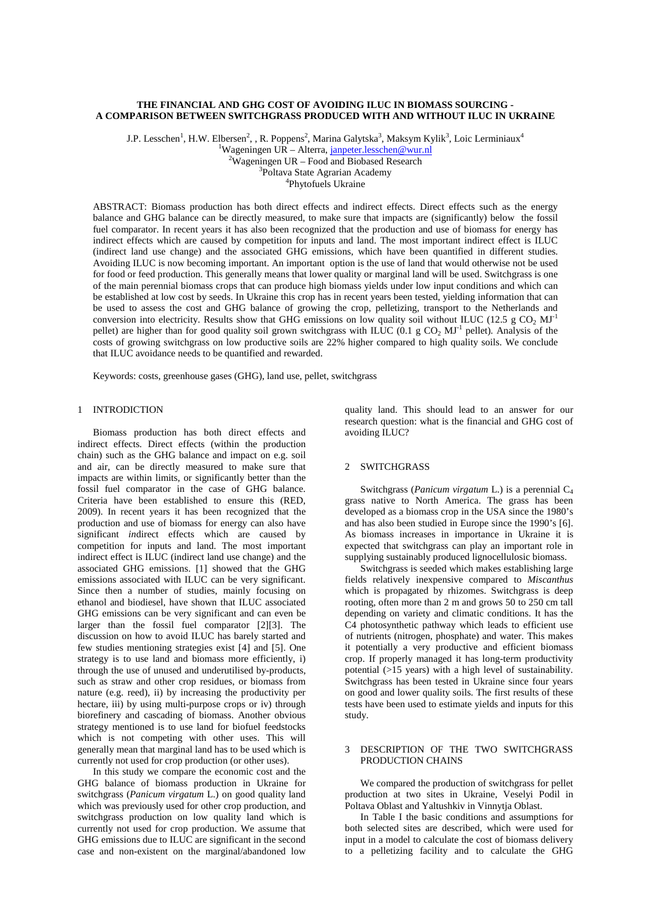# **THE FINANCIAL AND GHG COST OF AVOIDING ILUC IN BIOMASS SOURCING - A COMPARISON BETWEEN SWITCHGRASS PRODUCED WITH AND WITHOUT ILUC IN UKRAINE**

J.P. Lesschen $^1$ , H.W. Elbersen $^2$ , , R. Poppens $^2$ , Marina Galytska $^3$ , Maksym Kylik $^3$ , Loic Lerminiaux $^4$ 

<sup>1</sup>Wageningen UR – Alterra, [janpeter.lesschen@wur.nl](mailto:janpeter.lesschen@wur.nl) <sup>2</sup>Wageningen UR – Food and Biobased Research  $2W$ ageningen UR – Food and Biobased Research <sup>3</sup>Poltava State Agrarian Academy

Phytofuels Ukraine

ABSTRACT: Biomass production has both direct effects and indirect effects. Direct effects such as the energy balance and GHG balance can be directly measured, to make sure that impacts are (significantly) below the fossil fuel comparator. In recent years it has also been recognized that the production and use of biomass for energy has indirect effects which are caused by competition for inputs and land. The most important indirect effect is ILUC (indirect land use change) and the associated GHG emissions, which have been quantified in different studies. Avoiding ILUC is now becoming important. An important option is the use of land that would otherwise not be used for food or feed production. This generally means that lower quality or marginal land will be used. Switchgrass is one of the main perennial biomass crops that can produce high biomass yields under low input conditions and which can be established at low cost by seeds. In Ukraine this crop has in recent years been tested, yielding information that can be used to assess the cost and GHG balance of growing the crop, pelletizing, transport to the Netherlands and conversion into electricity. Results show that GHG emissions on low quality soil without ILUC (12.5 g CO<sub>2</sub> MJ<sup>-1</sup> pellet) are higher than for good quality soil grown switchgrass with ILUC (0.1 g CO<sub>2</sub> MJ<sup>-1</sup> pellet). Analysis of the costs of growing switchgrass on low productive soils are 22% higher compared to high quality soils. We conclude that ILUC avoidance needs to be quantified and rewarded.

Keywords: costs, greenhouse gases (GHG), land use, pellet, switchgrass

## 1 INTRODICTION

Biomass production has both direct effects and indirect effects. Direct effects (within the production chain) such as the GHG balance and impact on e.g. soil and air, can be directly measured to make sure that impacts are within limits, or significantly better than the fossil fuel comparator in the case of GHG balance. Criteria have been established to ensure this (RED, 2009). In recent years it has been recognized that the production and use of biomass for energy can also have significant *in*direct effects which are caused by competition for inputs and land. The most important indirect effect is ILUC (indirect land use change) and the associated GHG emissions. [1] showed that the GHG emissions associated with ILUC can be very significant. Since then a number of studies, mainly focusing on ethanol and biodiesel, have shown that ILUC associated GHG emissions can be very significant and can even be larger than the fossil fuel comparator [2][3]. The discussion on how to avoid ILUC has barely started and few studies mentioning strategies exist [4] and [5]. One strategy is to use land and biomass more efficiently, i) through the use of unused and underutilised by-products, such as straw and other crop residues, or biomass from nature (e.g. reed), ii) by increasing the productivity per hectare, iii) by using multi-purpose crops or iv) through biorefinery and cascading of biomass. Another obvious strategy mentioned is to use land for biofuel feedstocks which is not competing with other uses. This will generally mean that marginal land has to be used which is currently not used for crop production (or other uses).

In this study we compare the economic cost and the GHG balance of biomass production in Ukraine for switchgrass (*Panicum virgatum* L.) on good quality land which was previously used for other crop production, and switchgrass production on low quality land which is currently not used for crop production. We assume that GHG emissions due to ILUC are significant in the second case and non-existent on the marginal/abandoned low

quality land. This should lead to an answer for our research question: what is the financial and GHG cost of avoiding ILUC?

## 2 SWITCHGRASS

Switchgrass (*Panicum virgatum* L.) is a perennial C4 grass native to North America. The grass has been developed as a biomass crop in the USA since the 1980's and has also been studied in Europe since the 1990's [6]. As biomass increases in importance in Ukraine it is expected that switchgrass can play an important role in supplying sustainably produced lignocellulosic biomass.

Switchgrass is seeded which makes establishing large fields relatively inexpensive compared to *Miscanthus* which is propagated by rhizomes. Switchgrass is deep rooting, often more than 2 m and grows 50 to 250 cm tall depending on variety and climatic conditions. It has the C4 photosynthetic pathway which leads to efficient use of nutrients (nitrogen, phosphate) and water. This makes it potentially a very productive and efficient biomass crop. If properly managed it has long-term productivity potential (>15 years) with a high level of sustainability. Switchgrass has been tested in Ukraine since four years on good and lower quality soils. The first results of these tests have been used to estimate yields and inputs for this study.

# 3 DESCRIPTION OF THE TWO SWITCHGRASS PRODUCTION CHAINS

We compared the production of switchgrass for pellet production at two sites in Ukraine, Veselyi Podil in Poltava Oblast and Yaltushkiv in Vinnytja Oblast.

In Table I the basic conditions and assumptions for both selected sites are described, which were used for input in a model to calculate the cost of biomass delivery to a pelletizing facility and to calculate the GHG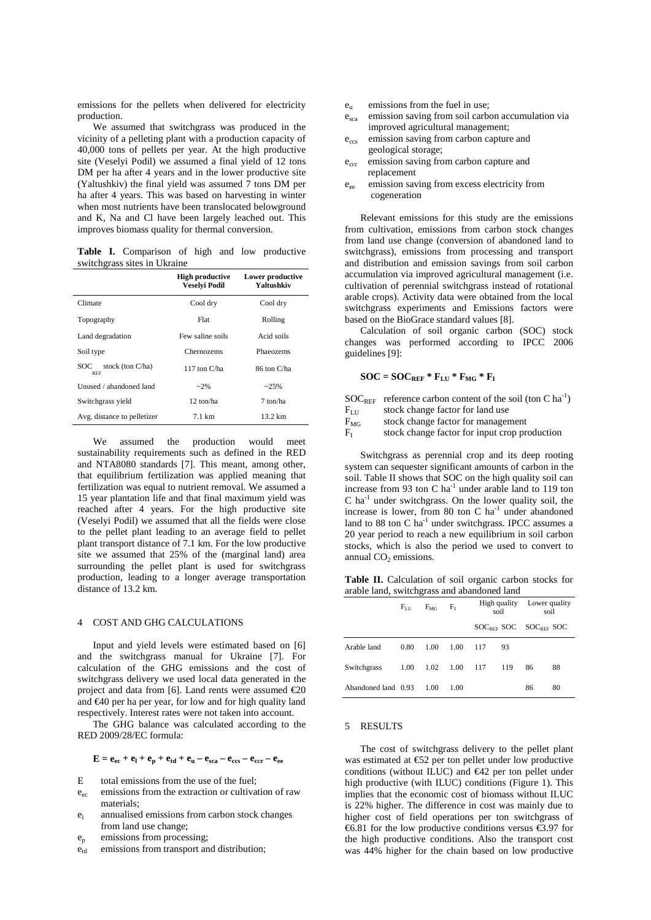emissions for the pellets when delivered for electricity production.

We assumed that switchgrass was produced in the vicinity of a pelleting plant with a production capacity of 40,000 tons of pellets per year. At the high productive site (Veselyi Podil) we assumed a final yield of 12 tons DM per ha after 4 years and in the lower productive site (Yaltushkiv) the final yield was assumed 7 tons DM per ha after 4 years. This was based on harvesting in winter when most nutrients have been translocated belowground and K, Na and Cl have been largely leached out. This improves biomass quality for thermal conversion.

**Table I.** Comparison of high and low productive switchgrass sites in Ukraine

|                                          | <b>High productive</b><br>Veselvi Podil | Lower productive<br>Yaltushkiv |  |  |
|------------------------------------------|-----------------------------------------|--------------------------------|--|--|
| Climate                                  | Cool dry                                | Cool dry                       |  |  |
| Topography                               | Flat                                    | Rolling                        |  |  |
| Land degradation                         | Few saline soils                        | Acid soils                     |  |  |
| Soil type                                | Chernozems                              | Phaeozems                      |  |  |
| stock (ton $C/ha$ )<br>SOC<br><b>REF</b> | 117 ton C/ha                            | 86 ton C/ha                    |  |  |
| Unused / abandoned land                  | $-2\%$                                  | $-25%$                         |  |  |
| Switchgrass yield                        | 12 ton/ha                               | 7 ton/ha                       |  |  |
| Avg. distance to pelletizer              | $7.1 \text{ km}$                        | $13.2 \text{ km}$              |  |  |

We assumed the production would meet sustainability requirements such as defined in the RED and NTA8080 standards [7]. This meant, among other, that equilibrium fertilization was applied meaning that fertilization was equal to nutrient removal. We assumed a 15 year plantation life and that final maximum yield was reached after 4 years. For the high productive site (Veselyi Podil) we assumed that all the fields were close to the pellet plant leading to an average field to pellet plant transport distance of 7.1 km. For the low productive site we assumed that 25% of the (marginal land) area surrounding the pellet plant is used for switchgrass production, leading to a longer average transportation distance of 13.2 km.

#### 4 COST AND GHG CALCULATIONS

Input and yield levels were estimated based on [6] and the switchgrass manual for Ukraine [7]. For calculation of the GHG emissions and the cost of switchgrass delivery we used local data generated in the project and data from [6]. Land rents were assumed  $\epsilon 20$ and €40 per ha per year, for low and for high quality land respectively. Interest rates were not taken into account.

The GHG balance was calculated according to the RED 2009/28/EC formula:

$$
\mathbf{E} = \mathbf{e}_{ec} + \mathbf{e}_l + \mathbf{e}_p + \mathbf{e}_{td} + \mathbf{e}_u - \mathbf{e}_{sca} - \mathbf{e}_{ccs} - \mathbf{e}_{ccr} - \mathbf{e}_{ee}
$$

- E total emissions from the use of the fuel;
- e<sub>ec</sub> emissions from the extraction or cultivation of raw materials;
- $e_1$  annualised emissions from carbon stock changes from land use change;
- ep emissions from processing;
- $e_{\rm td}$  emissions from transport and distribution;
- $e<sub>u</sub>$  emissions from the fuel in use;
- $e_{sca}$  emission saving from soil carbon accumulation via improved agricultural management;
- e<sub>ccs</sub> emission saving from carbon capture and geological storage;
- e<sub>ccr</sub> emission saving from carbon capture and replacement
- eee emission saving from excess electricity from cogeneration

Relevant emissions for this study are the emissions from cultivation, emissions from carbon stock changes from land use change (conversion of abandoned land to switchgrass), emissions from processing and transport and distribution and emission savings from soil carbon accumulation via improved agricultural management (i.e. cultivation of perennial switchgrass instead of rotational arable crops). Activity data were obtained from the local switchgrass experiments and Emissions factors were based on the BioGrace standard values [8].

Calculation of soil organic carbon (SOC) stock changes was performed according to IPCC 2006 guidelines [9]:

$$
SOC = SOC_{REF} * F_{LU} * F_{MG} * F_I
$$

 $SOC<sub>REF</sub>$  reference carbon content of the soil (ton C ha<sup>-1</sup>)

- 
- $F_{LU}$  stock change factor for land use<br> $F_{MG}$  stock change factor for manager  $F_{MG}$  stock change factor for management<br> $F_{I}$  stock change factor for input crop pro
- stock change factor for input crop production

Switchgrass as perennial crop and its deep rooting system can sequester significant amounts of carbon in the soil. Table II shows that SOC on the high quality soil can increase from 93 ton C ha<sup>-1</sup> under arable land to 119 ton  $C$  ha<sup>-1</sup> under switchgrass. On the lower quality soil, the increase is lower, from 80 ton C  $ha^{-1}$  under abandoned land to 88 ton  $C$  ha<sup>-1</sup> under switchgrass. IPCC assumes a 20 year period to reach a new equilibrium in soil carbon stocks, which is also the period we used to convert to annual  $CO<sub>2</sub>$  emissions.

**Table II.** Calculation of soil organic carbon stocks for arable land, switchgrass and abandoned land

|                     | $F_{\rm LU}$ | $F_{MG}$ | $F_{I}$ | High quality<br>soil  |     | Lower quality<br>soil |    |
|---------------------|--------------|----------|---------|-----------------------|-----|-----------------------|----|
|                     |              |          |         | SOCREE SOC SOCREE SOC |     |                       |    |
| Arable land         | 0.80         | 1.00     | 1.00    | 117                   | 93  |                       |    |
| Switchgrass         | 1.00         | 1.02     | 1.00    | 117                   | 119 | 86                    | 88 |
| Abandoned land 0.93 |              | 1.00     | 1.00    |                       |     | 86                    | 80 |

# 5 RESULTS

The cost of switchgrass delivery to the pellet plant was estimated at €52 per ton pellet under low productive conditions (without ILUC) and  $\bigoplus$  2 per ton pellet under high productive (with ILUC) conditions (Figure 1). This implies that the economic cost of biomass without ILUC is 22% higher. The difference in cost was mainly due to higher cost of field operations per ton switchgrass of €6.81 for the low productive conditions versus €3.97 for the high productive conditions. Also the transport cost was 44% higher for the chain based on low productive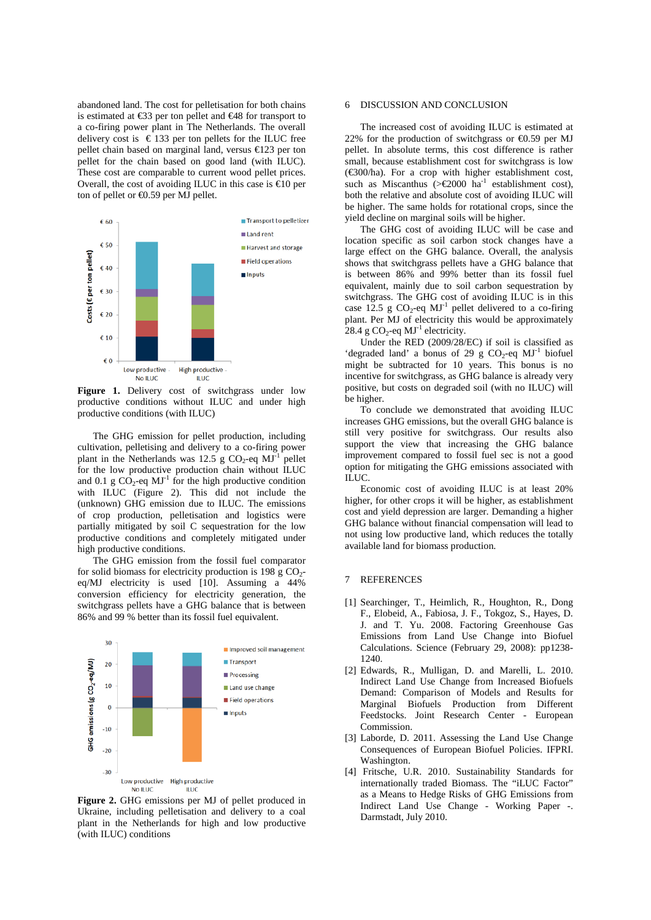abandoned land. The cost for pelletisation for both chains is estimated at €33 per ton pellet and €48 for transport to a co-firing power plant in The Netherlands. The overall delivery cost is  $\epsilon$  133 per ton pellets for the ILUC free pellet chain based on marginal land, versus €123 per ton pellet for the chain based on good land (with ILUC). These cost are comparable to current wood pellet prices. Overall, the cost of avoiding ILUC in this case is  $\infty$  per ton of pellet or €0.59 per MJ pellet.



Figure 1. Delivery cost of switchgrass under low productive conditions without ILUC and under high productive conditions (with ILUC)

The GHG emission for pellet production, including cultivation, pelletising and delivery to a co-firing power plant in the Netherlands was 12.5 g  $CO_2$ -eq MJ<sup>-1</sup> pellet for the low productive production chain without ILUC and 0.1 g  $CO_2$ -eq MJ<sup>-1</sup> for the high productive condition with ILUC (Figure 2). This did not include the (unknown) GHG emission due to ILUC. The emissions of crop production, pelletisation and logistics were partially mitigated by soil C sequestration for the low productive conditions and completely mitigated under high productive conditions.

The GHG emission from the fossil fuel comparator for solid biomass for electricity production is 198 g  $CO<sub>2</sub>$ eq/MJ electricity is used [10]. Assuming a 44% conversion efficiency for electricity generation, the switchgrass pellets have a GHG balance that is between 86% and 99 % better than its fossil fuel equivalent.



**Figure 2.** GHG emissions per MJ of pellet produced in Ukraine, including pelletisation and delivery to a coal plant in the Netherlands for high and low productive (with ILUC) conditions

## 6 DISCUSSION AND CONCLUSION

The increased cost of avoiding ILUC is estimated at 22% for the production of switchgrass or  $\Theta$ .59 per MJ pellet. In absolute terms, this cost difference is rather small, because establishment cost for switchgrass is low (€300/ha). For a crop with higher establishment cost, such as Miscanthus ( $>$   $\epsilon$ 2000 ha<sup>-1</sup> establishment cost), both the relative and absolute cost of avoiding ILUC will be higher. The same holds for rotational crops, since the yield decline on marginal soils will be higher.

The GHG cost of avoiding ILUC will be case and location specific as soil carbon stock changes have a large effect on the GHG balance. Overall, the analysis shows that switchgrass pellets have a GHG balance that is between 86% and 99% better than its fossil fuel equivalent, mainly due to soil carbon sequestration by switchgrass. The GHG cost of avoiding ILUC is in this case 12.5 g  $CO_2$ -eq MJ<sup>-1</sup> pellet delivered to a co-firing plant. Per MJ of electricity this would be approximately 28.4 g CO<sub>2</sub>-eq  $MJ<sup>-1</sup>$  electricity.

Under the RED (2009/28/EC) if soil is classified as 'degraded land' a bonus of 29 g  $CO_2$ -eq MJ<sup>-1</sup> biofuel might be subtracted for 10 years. This bonus is no incentive for switchgrass, as GHG balance is already very positive, but costs on degraded soil (with no ILUC) will be higher.

To conclude we demonstrated that avoiding ILUC increases GHG emissions, but the overall GHG balance is still very positive for switchgrass. Our results also support the view that increasing the GHG balance improvement compared to fossil fuel sec is not a good option for mitigating the GHG emissions associated with ILUC.

Economic cost of avoiding ILUC is at least 20% higher, for other crops it will be higher, as establishment cost and yield depression are larger. Demanding a higher GHG balance without financial compensation will lead to not using low productive land, which reduces the totally available land for biomass production.

# 7 REFERENCES

- [1] Searchinger, T., Heimlich, R., Houghton, R., Dong F., Elobeid, A., Fabiosa, J. F., Tokgoz, S., Hayes, D. J. and T. Yu. 2008. Factoring Greenhouse Gas Emissions from Land Use Change into Biofuel Calculations. Science (February 29, 2008): pp1238- 1240.
- [2] Edwards, R., Mulligan, D. and Marelli, L. 2010. Indirect Land Use Change from Increased Biofuels Demand: Comparison of Models and Results for Marginal Biofuels Production from Different Feedstocks. Joint Research Center - European Commission.
- [3] Laborde, D. 2011. Assessing the Land Use Change Consequences of European Biofuel Policies. IFPRI. Washington.
- [4] Fritsche, U.R. 2010. Sustainability Standards for internationally traded Biomass. The "iLUC Factor" as a Means to Hedge Risks of GHG Emissions from Indirect Land Use Change - Working Paper -. Darmstadt, July 2010.